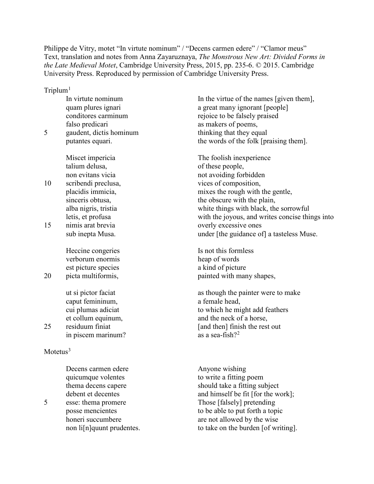Philippe de Vitry, motet "In virtute nominum" / "Decens carmen edere" / "Clamor meus" Text, translation and notes from Anna Zayaruznaya, *The Monstrous New Art: Divided Forms in the Late Medieval Motet*, Cambridge University Press, 2015, pp. 235-6. © 2015. Cambridge University Press. Reproduced by permission of Cambridge University Press.

 $Triplum<sup>1</sup>$  $Triplum<sup>1</sup>$  $Triplum<sup>1</sup>$ 

In virtute nominum quam plures ignari conditores carminum falso predicari 5 gaudent, dictis hominum putantes equari. Miscet impericia talium delusa, non evitans vicia 10 scribendi preclusa, placidis immicia, sinceris obtusa, alba nigris, tristia letis, et profusa 15 nimis arat brevia sub inepta Musa. Heccine congeries verborum enormis est picture species 20 picta multiformis, ut si pictor faciat caput femininum, cui plumas adiciat et collum equinum, 25 residuum finiat in piscem marinum?

 $M$ otetus $3$ 

Decens carmen edere quicumque volentes thema decens capere debent et decentes 5 esse: thema promere posse mencientes honeri succumbere non li[n]quunt prudentes. In the virtue of the names [given them], a great many ignorant [people] rejoice to be falsely praised as makers of poems, thinking that they equal the words of the folk [praising them].

The foolish inexperience of these people, not avoiding forbidden vices of composition, mixes the rough with the gentle, the obscure with the plain, white things with black, the sorrowful with the joyous, and writes concise things into overly excessive ones under [the guidance of] a tasteless Muse.

Is not this formless heap of words a kind of picture painted with many shapes,

as though the painter were to make a female head, to which he might add feathers and the neck of a horse, [and then] finish the rest out as a sea-fish? $2^2$  $2^2$ 

Anyone wishing to write a fitting poem should take a fitting subject and himself be fit [for the work]; Those [falsely] pretending to be able to put forth a topic are not allowed by the wise to take on the burden [of writing].